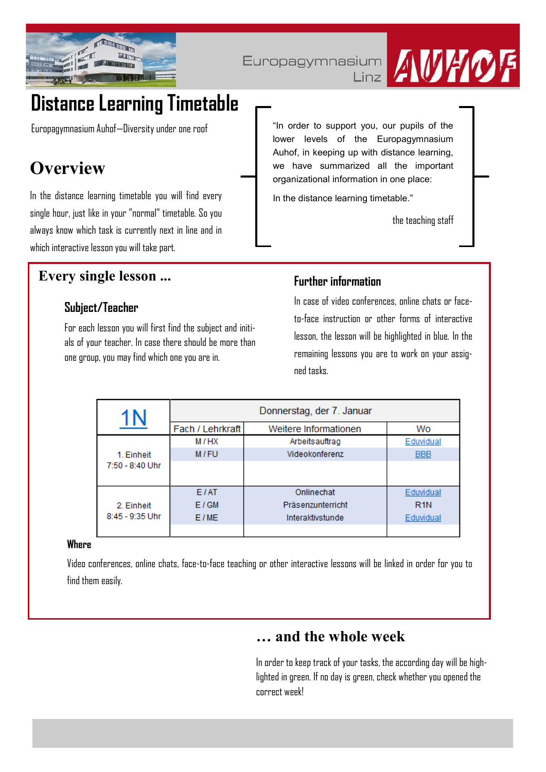

## Europagymnasium

 $Linz$ 



# **Distance Learning Timetable**

Europagymnasium Auhof—Diversity under one roof

## **Overview**

In the distance learning timetable you will find every single hour, just like in your "normal" timetable. So you always know which task is currently next in line and in which interactive lesson you will take part.

"In order to support you, our pupils of the lower levels of the Europagymnasium Auhof, in keeping up with distance learning, we have summarized all the important organizational information in one place:

In the distance learning timetable."

the teaching staff

## **Every single lesson ...**

## **Subject/Teacher**

For each lesson you will first find the subject and initials of your teacher. In case there should be more than one group, you may find which one you are in.

### **Further information**

In case of video conferences, online chats or faceto-face instruction or other forms of interactive lesson, the lesson will be highlighted in blue. In the remaining lessons you are to work on your assigned tasks.

|                                 | Donnerstag, der 7. Januar |                       |                  |
|---------------------------------|---------------------------|-----------------------|------------------|
|                                 | Fach / Lehrkraft          | Weitere Informationen | Wo               |
| 1. Einheit<br>$7:50 - 8:40$ Uhr | M/HX                      | Arbeitsauftrag        | Eduvidual        |
|                                 | M/FU                      | Videokonferenz        | <b>BBB</b>       |
|                                 |                           |                       |                  |
| 2. Einheit<br>$8:45 - 9:35$ Uhr | E <sub>/AT</sub>          | Onlinechat            | Eduvidual        |
|                                 | E/GM                      | Präsenzunterricht     | R <sub>1</sub> N |
|                                 | E/ME                      | Interaktivstunde      | Eduvidual        |
|                                 |                           |                       |                  |

#### **Where**

Video conferences, online chats, face-to-face teaching or other interactive lessons will be linked in order for you to find them easily.

## **… and the whole week**

In order to keep track of your tasks, the according day will be highlighted in green. If no day is green, check whether you opened the correct week!